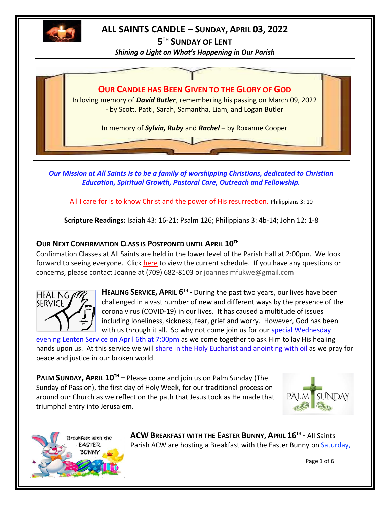

# **ALL SAINTS CANDLE – SUNDAY, APRIL 03, 2022**

**5 TH SUNDAY OF LENT**

*Shining a Light on What's Happening in Our Parish*



*Our Mission at All Saints is to be a family of worshipping Christians, dedicated to Christian Education, Spiritual Growth, Pastoral Care, Outreach and Fellowship.*

All I care for is to know Christ and the power of His resurrection. Philippians 3: 10

**Scripture Readings:** Isaiah 43: 16-21; Psalm 126; Philippians 3: 4b-14; John 12: 1-8

# **OUR NEXT CONFIRMATION CLASS IS POSTPONED UNTIL APRIL 10TH**

Confirmation Classes at All Saints are held in the lower level of the Parish Hall at 2:00pm. We look forward to seeing everyone. Click [here](http://allsaintsparish.ca/document_library/Confirmation%20Schedule%20220227.pdf) to view the current schedule. If you have any questions or concerns, please contact Joanne at (709) 682-8103 or [joannesimfukwe@gmail.com](mailto:joannesimfukwe@gmail.com)



**HEALING SERVICE, APRIL 6 TH -** During the past two years, our lives have been challenged in a vast number of new and different ways by the presence of the corona virus (COVID-19) in our lives. It has caused a multitude of issues including loneliness, sickness, fear, grief and worry. However, God has been with us through it all. So why not come join us for our special Wednesday

evening Lenten Service on April 6th at 7:00pm as we come together to ask Him to lay His healing hands upon us. At this service we will share in the Holy Eucharist and anointing with oil as we pray for peace and justice in our broken world.

**PALM SUNDAY, APRIL 10TH –** Please come and join us on Palm Sunday (The Sunday of Passion), the first day of Holy Week, for our traditional procession around our Church as we reflect on the path that Jesus took as He made that triumphal entry into Jerusalem.





**ACW BREAKFAST WITH THE EASTER BUNNY, APRIL 16TH -** All Saints Parish ACW are hosting a Breakfast with the Easter Bunny on Saturday,

Page 1 of 6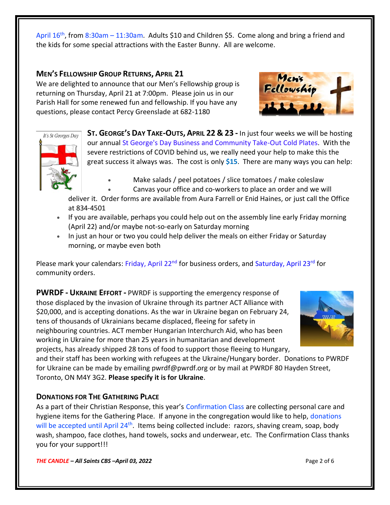April 16<sup>th</sup>, from 8:30am – 11:30am. Adults \$10 and Children \$5. Come along and bring a friend and the kids for some special attractions with the Easter Bunny. All are welcome.

## **MEN'S FELLOWSHIP GROUP RETURNS, APRIL 21**

We are delighted to announce that our Men's Fellowship group is returning on Thursday, April 21 at 7:00pm. Please join us in our Parish Hall for some renewed fun and fellowship. If you have any questions, please contact Percy Greenslade at 682-1180





**ST. GEORGE'S DAY TAKE-OUTS, APRIL 22 & 23 -** In just four weeks we will be hosting our annual St George's Day Business and Community Take-Out Cold Plates. With the severe restrictions of COVID behind us, we really need your help to make this the great success it always was. The cost is only **\$15**. There are many ways you can help:

- Make salads / peel potatoes / slice tomatoes / make coleslaw
- Canvas your office and co-workers to place an order and we will

deliver it. Order forms are available from Aura Farrell or Enid Haines, or just call the Office at 834-4501

- If you are available, perhaps you could help out on the assembly line early Friday morning (April 22) and/or maybe not-so-early on Saturday morning
- In just an hour or two you could help deliver the meals on either Friday or Saturday morning, or maybe even both

Please mark your calendars: Friday, April 22<sup>nd</sup> for business orders, and Saturday, April 23<sup>rd</sup> for community orders.

**PWRDF - UKRAINE EFFORT -** PWRDF is supporting the emergency response of those displaced by the invasion of Ukraine through its partner ACT Alliance with \$20,000, and is accepting donations. As the war in Ukraine began on February 24, tens of thousands of Ukrainians became displaced, fleeing for safety in neighbouring countries. ACT member Hungarian Interchurch Aid, who has been working in Ukraine for more than 25 years in humanitarian and development projects, has already shipped 28 tons of food to support those fleeing to Hungary,



and their staff has been working with refugees at the Ukraine/Hungary border. Donations to PWRDF for Ukraine can be made by emailing pwrdf@pwrdf.org or by mail at PWRDF 80 Hayden Street, Toronto, ON M4Y 3G2. **Please specify it is for Ukraine**.

# **DONATIONS FOR THE GATHERING PLACE**

As a part of their Christian Response, this year's Confirmation Class are collecting personal care and hygiene items for the Gathering Place. If anyone in the congregation would like to help, donations will be accepted until April 24<sup>th</sup>. Items being collected include: razors, shaving cream, soap, body wash, shampoo, face clothes, hand towels, socks and underwear, etc. The Confirmation Class thanks you for your support!!!

*THE CANDLE – All Saints CBS –April 03, 2022* Page 2 of 6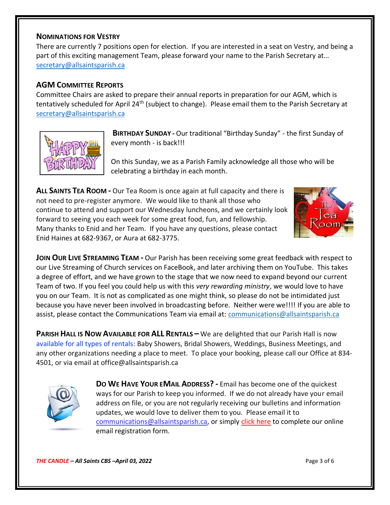#### **NOMINATIONS FOR VESTRY**

There are currently 7 positions open for election. If you are interested in a seat on Vestry, and being a part of this exciting management Team, please forward your name to the Parish Secretary at… [secretary@allsaintsparish.ca](mailto:Nominations%20for%20Vestry%20%20There%20are%20currently%207%20positions%20open%20for%20election.%20%20If%20you%20are%20interested%20in%20a%20seat%20on%20Vestry,%20and%20being%20a%20part%20of%20this%20exciting%20management%20Team,%20please%20forward%20your%20name%20to%20the%20Parish%20Secretary%20at…%20secretary@allsaintsparish.ca%20%20?subject=Nominations%20for%20Vestry)

## **AGM COMMITTEE REPORTS**

Committee Chairs are asked to prepare their annual reports in preparation for our AGM, which is tentatively scheduled for April 24<sup>th</sup> (subject to change). Please email them to the Parish Secretary at [secretary@allsaintsparish.ca](mailto:Committee%20Chairs%20are%20asked%20to%20prepare%20their%20annual%20reports%20in%20preparation%20for%20our%20AGM,%20which%20is%20tentatively%20scheduled%20for%20April%2024th%20(subject%20to%20change).%20%20Please%20email%20them%20to%20the%20Parish%20Secretary%20at%20secretary@allsaintsparish.ca%20%20?subject=AGM%20Committee%20Report)



**BIRTHDAY SUNDAY -** Our traditional "Birthday Sunday" - the first Sunday of every month - is back!!!

On this Sunday, we as a Parish Family acknowledge all those who will be celebrating a birthday in each month.

**ALL SAINTS TEA ROOM -** Our Tea Room is once again at full capacity and there is not need to pre-register anymore. We would like to thank all those who continue to attend and support our Wednesday luncheons, and we certainly look forward to seeing you each week for some great food, fun, and fellowship. Many thanks to Enid and her Team. If you have any questions, please contact Enid Haines at 682-9367, or Aura at 682-3775.



**JOIN OUR LIVE STREAMING TEAM -** Our Parish has been receiving some great feedback with respect to our Live Streaming of Church services on FaceBook, and later archiving them on YouTube. This takes a degree of effort, and we have grown to the stage that we now need to expand beyond our current Team of two. If you feel you could help us with this *very rewarding ministry*, we would love to have you on our Team. It is not as complicated as one might think, so please do not be intimidated just because you have never been involved in broadcasting before. Neither were we!!!! If you are able to assist, please contact the Communications Team via email at: communications@allsaintsparish.ca

**PARISH HALL IS NOW AVAILABLE FOR ALL RENTALS –** We are delighted that our Parish Hall is now available for all types of rentals: Baby Showers, Bridal Showers, Weddings, Business Meetings, and any other organizations needing a place to meet. To place your booking, please call our Office at 834- 4501, or via email at office@allsaintsparish.ca



**DO WE HAVE YOUR EMAIL ADDRESS? -** Email has become one of the quickest ways for our Parish to keep you informed. If we do not already have your email address on file, or you are not regularly receiving our bulletins and information updates, we would love to deliver them to you. Please email it to [communications@allsaintsparish.ca,](mailto:communications@allsaintsparish.ca?subject=eMail%20Address%20Update) or simply [click here](http://allsaintsparish.ca/email_updates) to complete our online email registration form.

*THE CANDLE – All Saints CBS –April 03, 2022* Page 3 of 6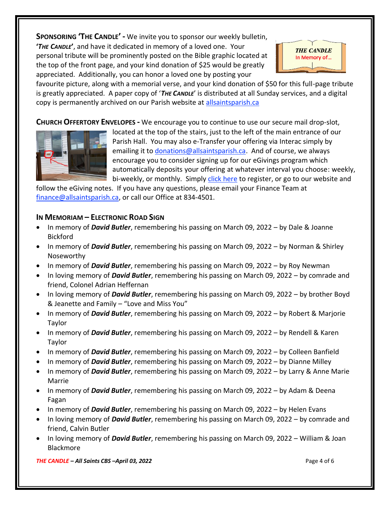**SPONSORING 'THE CANDLE' -** We invite you to sponsor our weekly bulletin, **'***THE CANDLE***'**, and have it dedicated in memory of a loved one. Your personal tribute will be prominently posted on the Bible graphic located at the top of the front page, and your kind donation of \$25 would be greatly appreciated. Additionally, you can honor a loved one by posting your



favourite picture, along with a memorial verse, and your kind donation of \$50 for this full-page tribute is greatly appreciated. A paper copy of '*THE CANDLE*' is distributed at all Sunday services, and a digital copy is permanently archived on our Parish website at [allsaintsparish.ca](http://allsaintsparish.ca/thecandle.html)

**CHURCH OFFERTORY ENVELOPES -** We encourage you to continue to use our secure mail drop-slot,



located at the top of the stairs, just to the left of the main entrance of our Parish Hall. You may also e-Transfer your offering via Interac simply by emailing it to [donations@allsaintsparish.ca.](mailto:donations@allsaintsparish.ca) And of course, we always encourage you to consider signing up for our eGivings program which automatically deposits your offering at whatever interval you choose: weekly, bi-weekly, or monthly. Simply [click here](http://allsaintsparish.ca/egiving-online-information-form) to register, or go to our website and

follow the eGiving notes. If you have [any](https://wfsites-to.websitecreatorprotool.com/870a5dd5.com/Admin/%7BSK_NODEID__22939341__SK%7D) questions, please email your Finance Team at [finance@allsaintsparish.ca,](mailto:finance@allsaintsparish.ca) or call our Office at 834-4501.

## **IN MEMORIAM – ELECTRONIC ROAD SIGN**

- In memory of *David Butler*, remembering his passing on March 09, 2022 by Dale & Joanne Bickford
- In memory of *David Butler*, remembering his passing on March 09, 2022 by Norman & Shirley Noseworthy
- In memory of *David Butler*, remembering his passing on March 09, 2022 by Roy Newman
- In loving memory of *David Butler*, remembering his passing on March 09, 2022 by comrade and friend, Colonel Adrian Heffernan
- In loving memory of *David Butler*, remembering his passing on March 09, 2022 by brother Boyd & Jeanette and Family – "Love and Miss You"
- In memory of *David Butler*, remembering his passing on March 09, 2022 by Robert & Marjorie Taylor
- In memory of *David Butler*, remembering his passing on March 09, 2022 by Rendell & Karen Taylor
- In memory of *David Butler*, remembering his passing on March 09, 2022 by Colleen Banfield
- In memory of *David Butler*, remembering his passing on March 09, 2022 by Dianne Milley
- In memory of *David Butler*, remembering his passing on March 09, 2022 by Larry & Anne Marie Marrie
- In memory of *David Butler*, remembering his passing on March 09, 2022 by Adam & Deena Fagan
- In memory of *David Butler*, remembering his passing on March 09, 2022 by Helen Evans
- In loving memory of *David Butler*, remembering his passing on March 09, 2022 by comrade and friend, Calvin Butler
- In loving memory of *David Butler*, remembering his passing on March 09, 2022 William & Joan Blackmore

*THE CANDLE – All Saints CBS –April 03, 2022* Page 4 of 6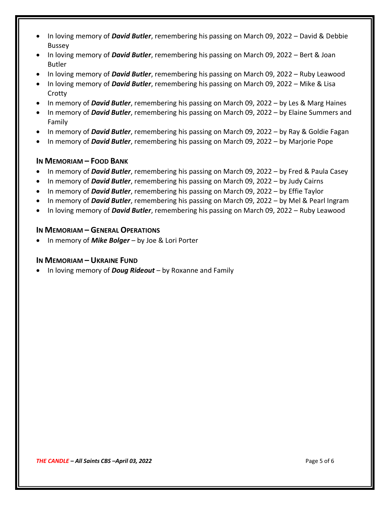- In loving memory of *David Butler*, remembering his passing on March 09, 2022 David & Debbie Bussey
- In loving memory of *David Butler*, remembering his passing on March 09, 2022 Bert & Joan Butler
- In loving memory of *David Butler*, remembering his passing on March 09, 2022 Ruby Leawood
- In loving memory of *David Butler*, remembering his passing on March 09, 2022 Mike & Lisa **Crotty**
- In memory of *David Butler*, remembering his passing on March 09, 2022 by Les & Marg Haines
- In memory of *David Butler*, remembering his passing on March 09, 2022 by Elaine Summers and Family
- In memory of *David Butler*, remembering his passing on March 09, 2022 by Ray & Goldie Fagan
- In memory of *David Butler*, remembering his passing on March 09, 2022 by Marjorie Pope

### **IN MEMORIAM – FOOD BANK**

- In memory of *David Butler*, remembering his passing on March 09, 2022 by Fred & Paula Casey
- In memory of *David Butler*, remembering his passing on March 09, 2022 by Judy Cairns
- In memory of *David Butler*, remembering his passing on March 09, 2022 by Effie Taylor
- In memory of *David Butler*, remembering his passing on March 09, 2022 by Mel & Pearl Ingram
- In loving memory of *David Butler*, remembering his passing on March 09, 2022 Ruby Leawood

### **IN MEMORIAM – GENERAL OPERATIONS**

• In memory of *Mike Bolger* – by Joe & Lori Porter

# **IN MEMORIAM –UKRAINE FUND**

• In loving memory of *Doug Rideout* – by Roxanne and Family